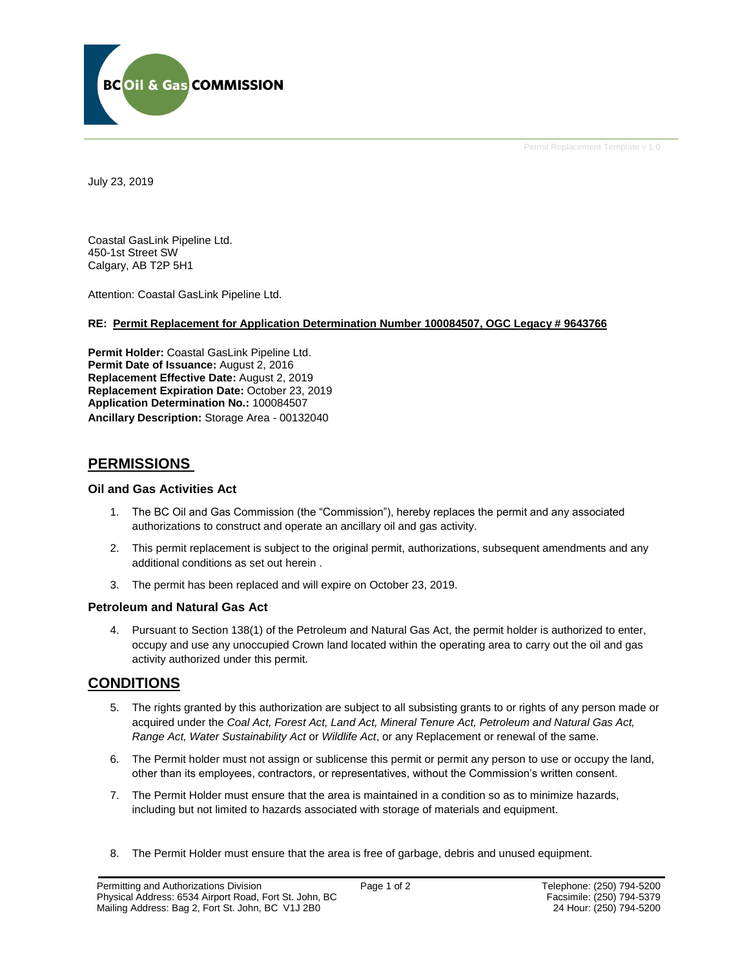

Permit Replacement Template v 1.0

July 23, 2019

Coastal GasLink Pipeline Ltd. 450-1st Street SW Calgary, AB T2P 5H1

Attention: Coastal GasLink Pipeline Ltd.

### **RE: Permit Replacement for Application Determination Number 100084507, OGC Legacy # 9643766**

**Permit Holder:** Coastal GasLink Pipeline Ltd. Permit Date of Issuance: August 2, 2016 **Replacement Effective Date:** August 2, 2019 **Replacement Expiration Date:** October 23, 2019 **Application Determination No.:** 100084507 **Ancillary Description:** Storage Area - 00132040

## **PERMISSIONS**

#### **Oil and Gas Activities Act**

- 1. The BC Oil and Gas Commission (the "Commission"), hereby replaces the permit and any associated authorizations to construct and operate an ancillary oil and gas activity.
- 2. This permit replacement is subject to the original permit, authorizations, subsequent amendments and any additional conditions as set out herein .
- 3. The permit has been replaced and will expire on October 23, 2019.

#### **Petroleum and Natural Gas Act**

4. Pursuant to Section 138(1) of the Petroleum and Natural Gas Act, the permit holder is authorized to enter, occupy and use any unoccupied Crown land located within the operating area to carry out the oil and gas activity authorized under this permit.

# **CONDITIONS**

- 5. The rights granted by this authorization are subject to all subsisting grants to or rights of any person made or acquired under the *Coal Act, Forest Act, Land Act, Mineral Tenure Act, Petroleum and Natural Gas Act, Range Act, Water Sustainability Act* or *Wildlife Act*, or any Replacement or renewal of the same.
- 6. The Permit holder must not assign or sublicense this permit or permit any person to use or occupy the land, other than its employees, contractors, or representatives, without the Commission's written consent.
- 7. The Permit Holder must ensure that the area is maintained in a condition so as to minimize hazards, including but not limited to hazards associated with storage of materials and equipment.
- 8. The Permit Holder must ensure that the area is free of garbage, debris and unused equipment.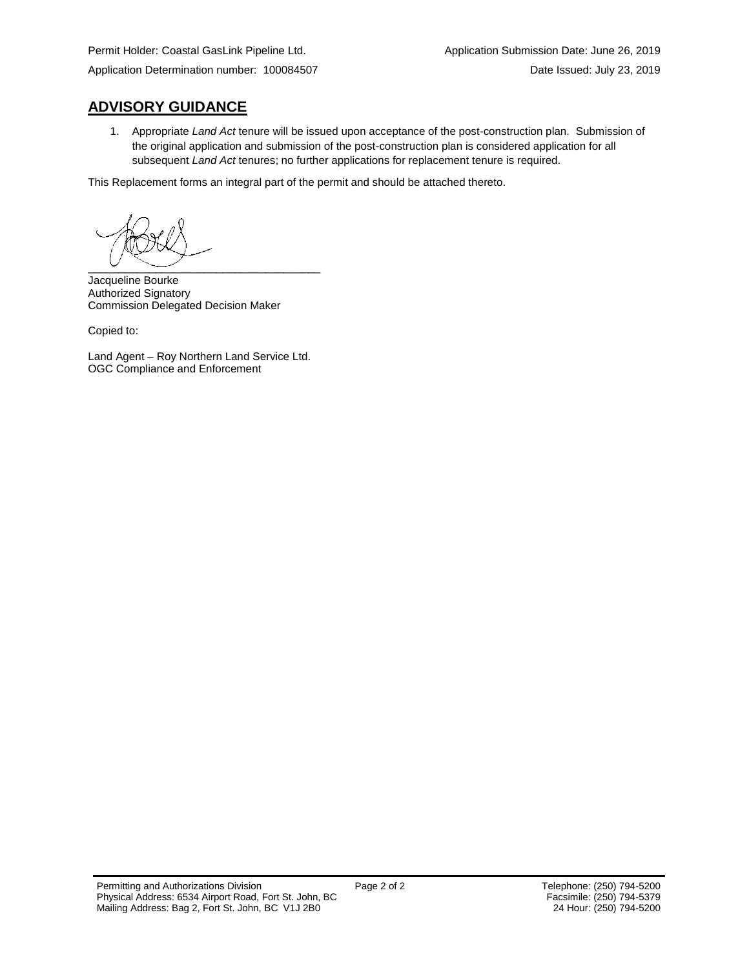# **ADVISORY GUIDANCE**

1. Appropriate *Land Act* tenure will be issued upon acceptance of the post-construction plan. Submission of the original application and submission of the post-construction plan is considered application for all subsequent *Land Act* tenures; no further applications for replacement tenure is required.

This Replacement forms an integral part of the permit and should be attached thereto.

 $\overline{\phantom{a}}$   $\overline{\phantom{a}}$   $\overline{\phantom{a}}$   $\overline{\phantom{a}}$   $\overline{\phantom{a}}$   $\overline{\phantom{a}}$   $\overline{\phantom{a}}$   $\overline{\phantom{a}}$   $\overline{\phantom{a}}$   $\overline{\phantom{a}}$   $\overline{\phantom{a}}$   $\overline{\phantom{a}}$   $\overline{\phantom{a}}$   $\overline{\phantom{a}}$   $\overline{\phantom{a}}$   $\overline{\phantom{a}}$   $\overline{\phantom{a}}$   $\overline{\phantom{a}}$   $\overline{\$ 

Jacqueline Bourke Authorized Signatory Commission Delegated Decision Maker

Copied to:

Land Agent – Roy Northern Land Service Ltd. OGC Compliance and Enforcement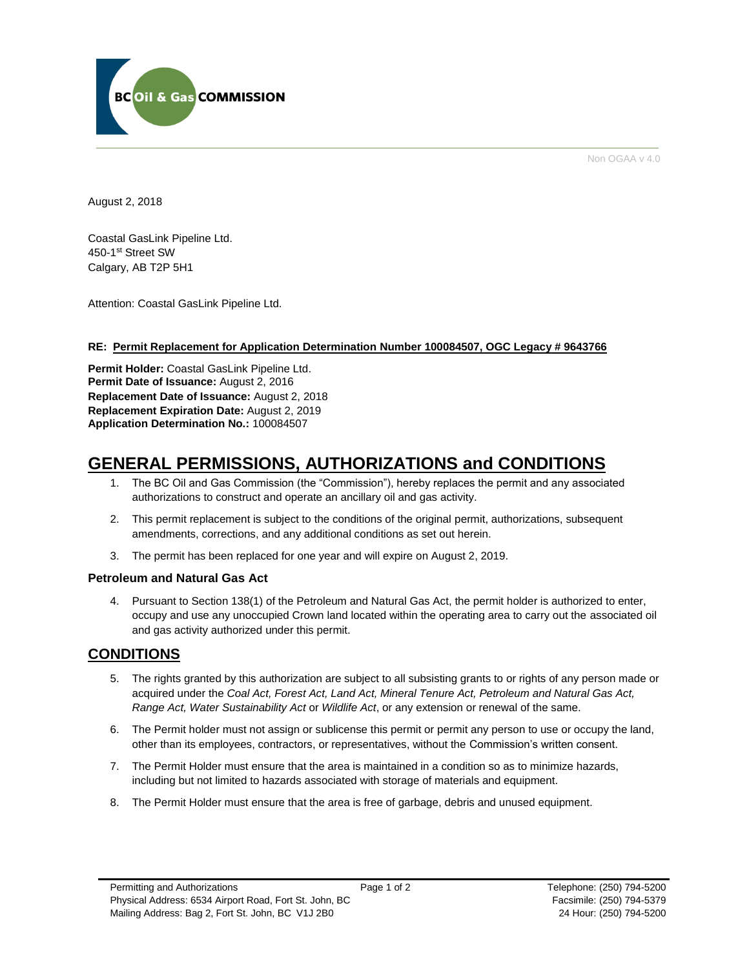

Non OGAA v 4.0

August 2, 2018

Coastal GasLink Pipeline Ltd. 450-1st Street SW Calgary, AB T2P 5H1

Attention: Coastal GasLink Pipeline Ltd.

#### **RE: Permit Replacement for Application Determination Number 100084507, OGC Legacy # 9643766**

**Permit Holder:** Coastal GasLink Pipeline Ltd. Permit Date of Issuance: August 2, 2016 **Replacement Date of Issuance:** August 2, 2018 **Replacement Expiration Date:** August 2, 2019 **Application Determination No.:** 100084507

# **GENERAL PERMISSIONS, AUTHORIZATIONS and CONDITIONS**

- 1. The BC Oil and Gas Commission (the "Commission"), hereby replaces the permit and any associated authorizations to construct and operate an ancillary oil and gas activity.
- 2. This permit replacement is subject to the conditions of the original permit, authorizations, subsequent amendments, corrections, and any additional conditions as set out herein.
- 3. The permit has been replaced for one year and will expire on August 2, 2019.

#### **Petroleum and Natural Gas Act**

4. Pursuant to Section 138(1) of the Petroleum and Natural Gas Act, the permit holder is authorized to enter, occupy and use any unoccupied Crown land located within the operating area to carry out the associated oil and gas activity authorized under this permit.

# **CONDITIONS**

- 5. The rights granted by this authorization are subject to all subsisting grants to or rights of any person made or acquired under the *Coal Act, Forest Act, Land Act, Mineral Tenure Act, Petroleum and Natural Gas Act, Range Act, Water Sustainability Act* or *Wildlife Act*, or any extension or renewal of the same.
- 6. The Permit holder must not assign or sublicense this permit or permit any person to use or occupy the land, other than its employees, contractors, or representatives, without the Commission's written consent.
- 7. The Permit Holder must ensure that the area is maintained in a condition so as to minimize hazards, including but not limited to hazards associated with storage of materials and equipment.
- 8. The Permit Holder must ensure that the area is free of garbage, debris and unused equipment.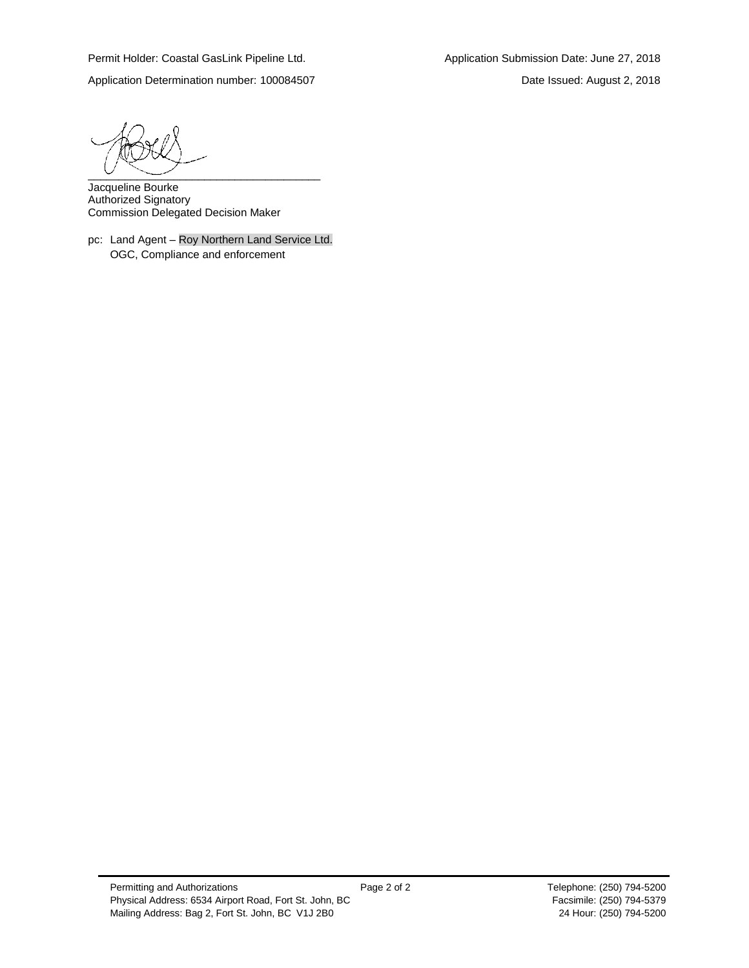Application Determination number: 100084507 Date Issued: August 2, 2018

 $\overline{\phantom{a}}$   $\overline{\phantom{a}}$   $\overline{\phantom{a}}$   $\overline{\phantom{a}}$   $\overline{\phantom{a}}$   $\overline{\phantom{a}}$   $\overline{\phantom{a}}$   $\overline{\phantom{a}}$   $\overline{\phantom{a}}$   $\overline{\phantom{a}}$   $\overline{\phantom{a}}$   $\overline{\phantom{a}}$   $\overline{\phantom{a}}$   $\overline{\phantom{a}}$   $\overline{\phantom{a}}$   $\overline{\phantom{a}}$   $\overline{\phantom{a}}$   $\overline{\phantom{a}}$   $\overline{\$ 

Jacqueline Bourke Authorized Signatory Commission Delegated Decision Maker

pc: Land Agent – Roy Northern Land Service Ltd. OGC, Compliance and enforcement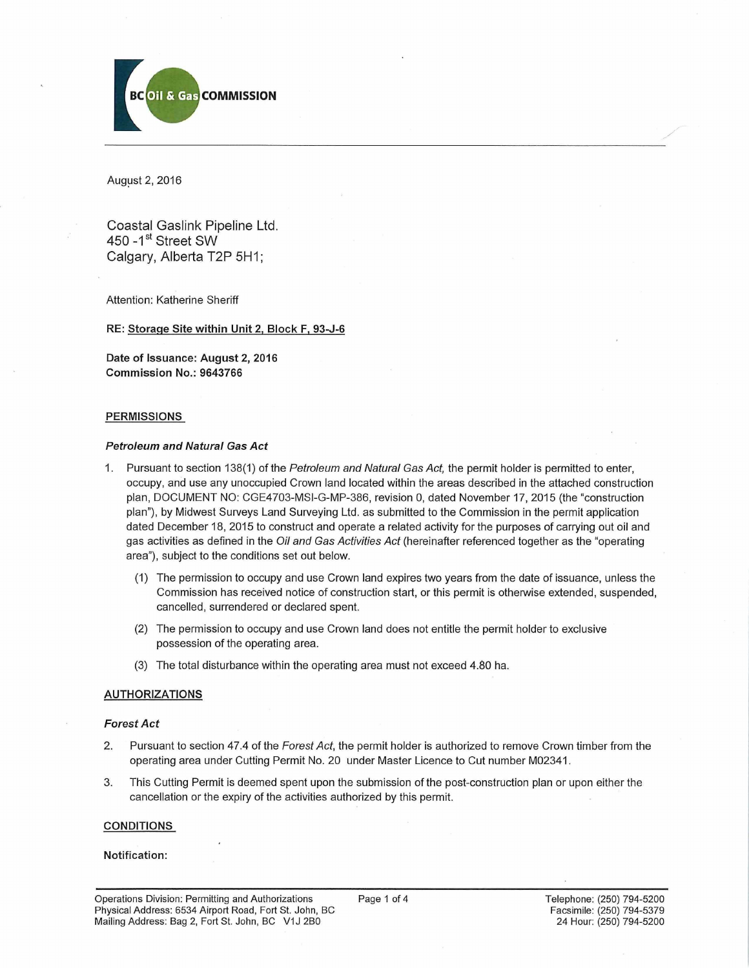

August 2, 2016

Coastal Gaslink Pipeline Ltd. 450 -1<sup>st</sup> Street SW Calgary, Alberta T2P 5H1;

Attention: Katherine Sheriff

**RE: Storage Site within Unit 2, Block F, 93-J-6**

**Date of Issuance: August 2, 2016 Commission No.: 9643766**

#### **PERMISSIONS**

#### *Petroleum and Natural Gas Act*

- 1. Pursuant to section 138(1) of the *Petroleum and Natural Gas Act,* the permit holder is permitted to enter, occupy, and use any unoccupied Crown land located within the areas described in the attached construction plan, DOCUMENT NO: CGE4703-MSI-G-MP-386, revision 0, dated November 17, 2015 (the "construction plan"), by Midwest Surveys Land Surveying Ltd. as submitted to the Commission in the permit application dated December 18, 2015 to construct and operate a related activity for the purposes of carrying out oil and gas activities as defined in the *Oil and Gas Activities Act* (hereinafter referenced together as the "operating area"), subject to the conditions set out below.
	- (1) The permission to occupy and use Crown land expires two years from the date of issuance, unless the Commission has received notice of construction start, or this permit is otherwise extended, suspended, cancelled, surrendered or declared spent.
	- (2) The permission to occupy and use Crown land does not entitle the permit holder to exclusive possession of the operating area.
	- (3) The total disturbance within the operating area must not exceed 4.80 ha.

#### **AUTHORIZATIONS**

#### *Forest Act*

- 2. Pursuant to section 47.4 of the *Forest Act,* the permit holder is authorized to remove Crown timber from the operating area under Cutting Permit No. 20 under Master Licence to Cut number M02341.
- 3. This Cutting Permit is deemed spent upon the submission of the post-construction plan or upon either the cancellation or the expiry of the activities authorized by this permit.

#### **CONDITIONS**

#### **Notification:**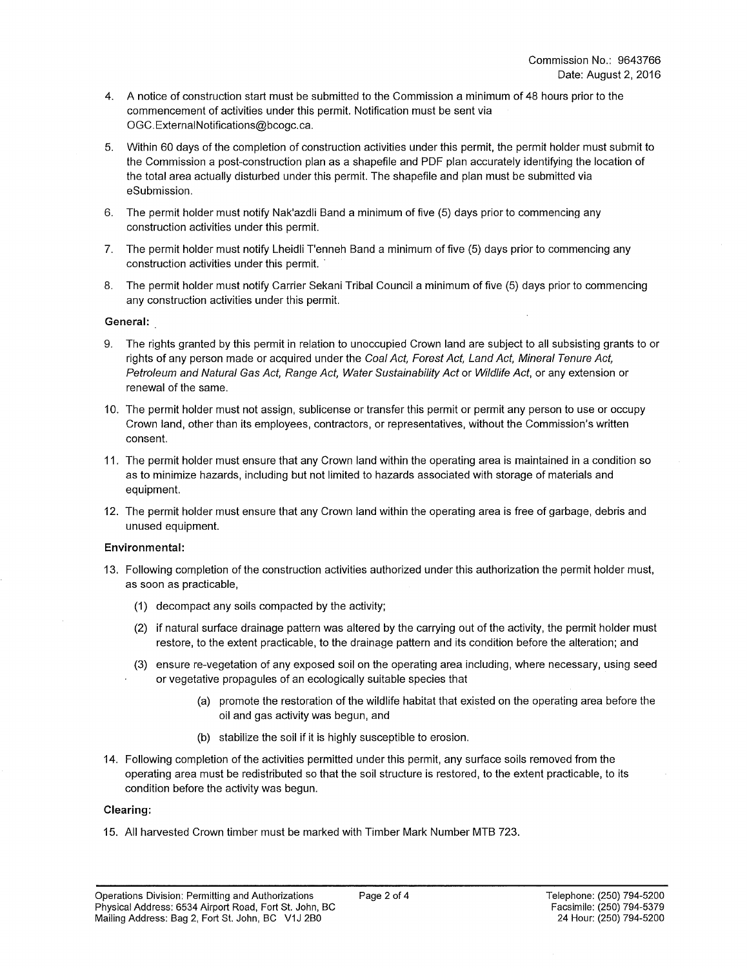- 4. A notice of construction start must be submitted to the Commission a minimum of 48 hours prior to the commencement of activities under this permit. Notification must be sent via [OGC.ExternalNotifications@bcogc.ca](mailto:OGC.ExternalNotifications@bcogc.ca).
- 5. Within 60 days of the completion of construction activities under this permit, the permit holder must submit to the Commission a post-construction plan as a shapefile and PDF plan accurately identifying the location of the total area actually disturbed under this permit. The shapefile and plan must be submitted via eSubmission.
- 6. The permit holder must notify Nak'azdli Band a minimum of five (5) days prior to commencing any construction activities under this permit.
- 7. The permit holder must notify Lheidli T'enneh Band a minimum of five (5) days prior to commencing any construction activities under this permit. '
- 8. The permit holder must notify Carrier Sekani Tribal Council a minimum of five (5) days prior to commencing any construction activities under this permit.

#### **General:**

- 9. The rights granted by this permit in relation to unoccupied Crown land are subject to all subsisting grants to or rights of any person made or acquired under the *Coal Act, Forest Act, Land Act, Mineral Tenure Act, Petroleum and Natural Gas Act, Range Act, Water Sustainability Act* or *Wildlife Act,* or any extension or renewal of the same.
- 10. The permit holder must not assign, sublicense or transfer this permit or permit any person to use or occupy Crown land, other than its employees, contractors, or representatives, without the Commission's written consent.
- 11. The permit holder must ensure that any Crown land within the operating area is maintained in a condition so as to minimize hazards, including but not limited to hazards associated with storage of materials and equipment.
- 12. The permit holder must ensure that any Crown land within the operating area is free of garbage, debris and unused equipment.

#### **Environmental:**

- 13. Following completion of the construction activities authorized under this authorization the permit holder must, as soon as practicable,
	- (1) decompact any soils compacted by the activity;
	- (2) if natural surface drainage pattern was altered by the carrying out of the activity, the permit holder must restore, to the extent practicable, to the drainage pattern and its condition before the alteration; and
	- (3) ensure re-vegetation of any exposed soil on the operating area including, where necessary, using seed or vegetative propagules of an ecologically suitable species that
		- (a) promote the restoration of the wildlife habitat that existed on the operating area before the oil and gas activity was begun, and
		- (b) stabilize the soil if it is highly susceptible to erosion.
- 14. Following completion of the activities permitted under this permit, any surface soils removed from the operating area must be redistributed so that the soil structure is restored, to the extent practicable, to its condition before the activity was begun.

#### **Clearing:**

15. All harvested Crown timber must be marked with Timber Mark Number MTB 723.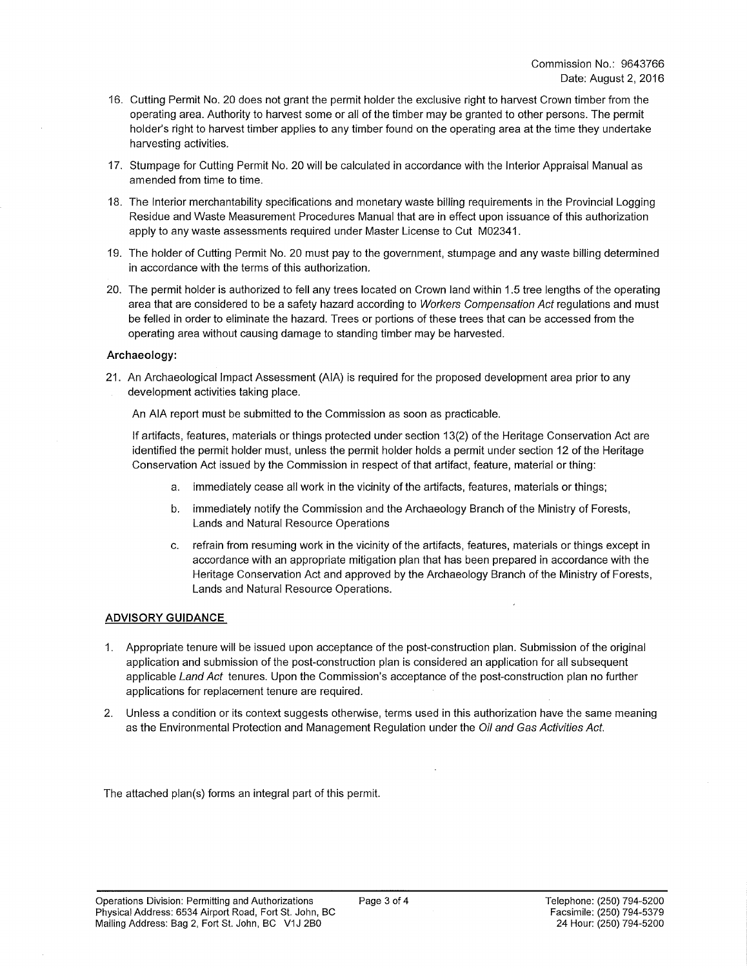- 16. Cutting Permit No. 20 does not grant the permit holder the exclusive right to harvest Crown timber from the operating area. Authority to harvest some or all of the timber may be granted to other persons. The permit holder's right to harvest timber applies to any timber found on the operating area at the time they undertake harvesting activities.
- 17. Stumpage for Cutting Permit No. 20 will be calculated in accordance with the Interior Appraisal Manual as amended from time to time.
- 18. The Interior merchantability specifications and monetary waste billing requirements in the Provincial Logging Residue and Waste Measurement Procedures Manual that are in effect upon issuance of this authorization apply to any waste assessments required under Master License to Cut M02341.
- 19. The holder of Cutting Permit No. 20 must pay to the government, stumpage and any waste billing determined in accordance with the terms of this authorization.
- 20. The permit holder is authorized to fell any trees located on Crown land within 1.5 tree lengths of the operating area that are considered to be a safety hazard according to *Workers Compensation Act* regulations and must be felled in order to eliminate the hazard. Trees or portions of these trees that can be accessed from the operating area without causing damage to standing timber may be harvested.

#### **Archaeology:**

21. An Archaeological Impact Assessment (AIA) is required for the proposed development area prior to any development activities taking place.

An AIA report must be submitted to the Commission as soon as practicable.

If artifacts, features, materials or things protected under section 13(2) of the Heritage Conservation Act are identified the permit holder must, unless the permit holder holds a permit under section 12 of the Heritage Conservation Act issued by the Commission in respect of that artifact, feature, material or thing:

- a. immediately cease all work in the vicinity of the artifacts, features, materials or things;
- b. immediately notify the Commission and the Archaeology Branch of the Ministry of Forests, Lands and Natural Resource Operations
- c. refrain from resuming work in the vicinity of the artifacts, features, materials or things except in accordance with an appropriate mitigation plan that has been prepared in accordance with the Heritage Conservation Act and approved by the Archaeology Branch of the Ministry of Forests, Lands and Natural Resource Operations.

#### **ADVISORY GUIDANCE**

- 1. Appropriate tenure will be issued upon acceptance of the post-construction plan. Submission of the original application and submission of the post-construction plan is considered an application for all subsequent applicable *Land Act* tenures. Upon the Commission's acceptance of the post-construction plan no further applications for replacement tenure are required.
- 2. Unless a condition or its context suggests otherwise, terms used in this authorization have the same meaning as the Environmental Protection and Management Regulation under the *Oil and Gas Activities Act.*

The attached plan(s) forms an integral part of this permit.